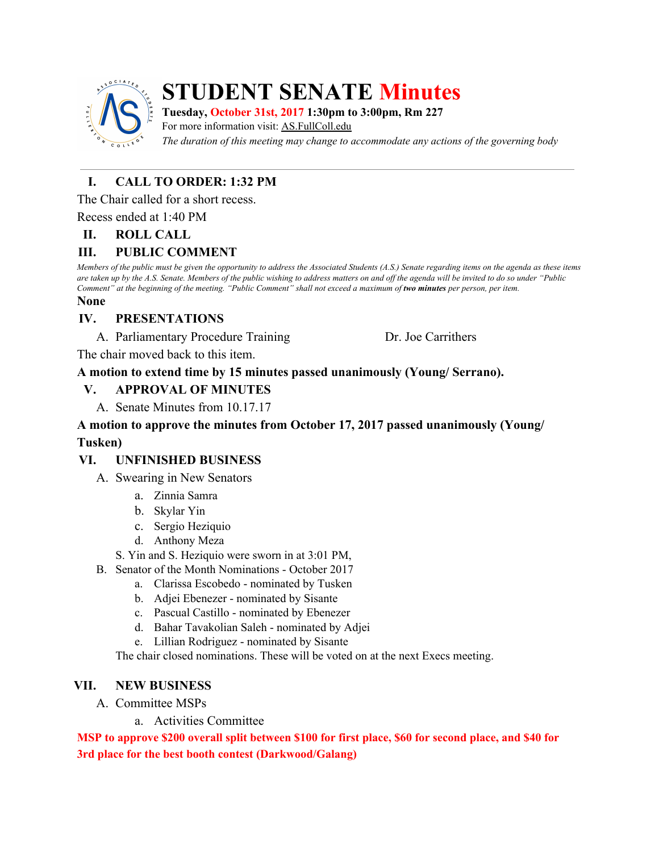

# **STUDENT SENATE Minutes**

**Tuesday, October 31st, 2017 1:30pm to 3:00pm, Rm 227**

For more information visit: AS.FullColl.edu

*The duration of this meeting may change to accommodate any actions of the governing body*

## **I. CALL TO ORDER: 1:32 PM**

The Chair called for a short recess.

Recess ended at 1:40 PM

#### **II. ROLL CALL**

#### **III. PUBLIC COMMENT**

Members of the public must be given the opportunity to address the Associated Students (A.S.) Senate regarding items on the agenda as these items are taken up by the A.S. Senate. Members of the public wishing to address matters on and off the agenda will be invited to do so under "Public Comment" at the beginning of the meeting. "Public Comment" shall not exceed a maximum of two minutes per person, per item.

#### **None**

#### **IV. PRESENTATIONS**

A. Parliamentary Procedure Training Dr. Joe Carrithers

The chair moved back to this item.

#### **A motion to extend time by 15 minutes passed unanimously (Young/ Serrano).**

#### **V. APPROVAL OF MINUTES**

A. Senate Minutes from 10.17.17

#### **A motion to approve the minutes from October 17, 2017 passed unanimously (Young/ Tusken)**

#### **VI. UNFINISHED BUSINESS**

- A. Swearing in New Senators
	- a. Zinnia Samra
	- b. Skylar Yin
	- c. Sergio Heziquio
	- d. Anthony Meza

S. Yin and S. Heziquio were sworn in at 3:01 PM,

- B. Senator of the Month Nominations October 2017
	- a. Clarissa Escobedo nominated by Tusken
	- b. Adjei Ebenezer nominated by Sisante
	- c. Pascual Castillo nominated by Ebenezer
	- d. Bahar Tavakolian Saleh nominated by Adjei
	- e. Lillian Rodriguez nominated by Sisante

The chair closed nominations. These will be voted on at the next Execs meeting.

#### **VII. NEW BUSINESS**

- A. Committee MSPs
	- a. Activities Committee

**MSP to approve \$200 overall split between \$100 for first place, \$60 for second place, and \$40 for 3rd place for the best booth contest (Darkwood/Galang)**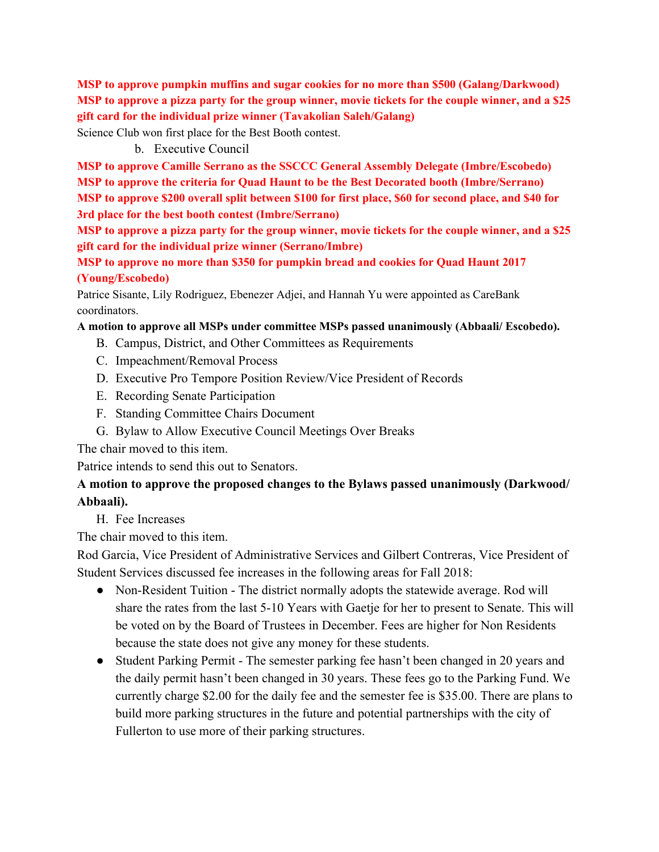**MSP to approve pumpkin muffins and sugar cookies for no more than \$500 (Galang/Darkwood)** MSP to approve a pizza party for the group winner, movie tickets for the couple winner, and a \$25 **gift card for the individual prize winner (Tavakolian Saleh/Galang)**

Science Club won first place for the Best Booth contest.

b. Executive Council

**MSP to approve Camille Serrano as the SSCCC General Assembly Delegate (Imbre/Escobedo) MSP to approve the criteria for Quad Haunt to be the Best Decorated booth (Imbre/Serrano) MSP to approve \$200 overall split between \$100 for first place, \$60 for second place, and \$40 for 3rd place for the best booth contest (Imbre/Serrano)**

MSP to approve a pizza party for the group winner, movie tickets for the couple winner, and a \$25 **gift card for the individual prize winner (Serrano/Imbre)**

**MSP to approve no more than \$350 for pumpkin bread and cookies for Quad Haunt 2017 (Young/Escobedo)**

Patrice Sisante, Lily Rodriguez, Ebenezer Adjei, and Hannah Yu were appointed as CareBank coordinators.

#### **A motion to approve all MSPs under committee MSPs passed unanimously (Abbaali/ Escobedo).**

- B. Campus, District, and Other Committees as Requirements
- C. Impeachment/Removal Process
- D. Executive Pro Tempore Position Review/Vice President of Records
- E. Recording Senate Participation
- F. Standing Committee Chairs Document
- G. Bylaw to Allow Executive Council Meetings Over Breaks

The chair moved to this item.

Patrice intends to send this out to Senators.

#### **A motion to approve the proposed changes to the Bylaws passed unanimously (Darkwood/ Abbaali).**

#### H. Fee Increases

The chair moved to this item.

Rod Garcia, Vice President of Administrative Services and Gilbert Contreras, Vice President of Student Services discussed fee increases in the following areas for Fall 2018:

- Non-Resident Tuition The district normally adopts the statewide average. Rod will share the rates from the last 5-10 Years with Gaetje for her to present to Senate. This will be voted on by the Board of Trustees in December. Fees are higher for Non Residents because the state does not give any money for these students.
- Student Parking Permit The semester parking fee hasn't been changed in 20 years and the daily permit hasn't been changed in 30 years. These fees go to the Parking Fund. We currently charge \$2.00 for the daily fee and the semester fee is \$35.00. There are plans to build more parking structures in the future and potential partnerships with the city of Fullerton to use more of their parking structures.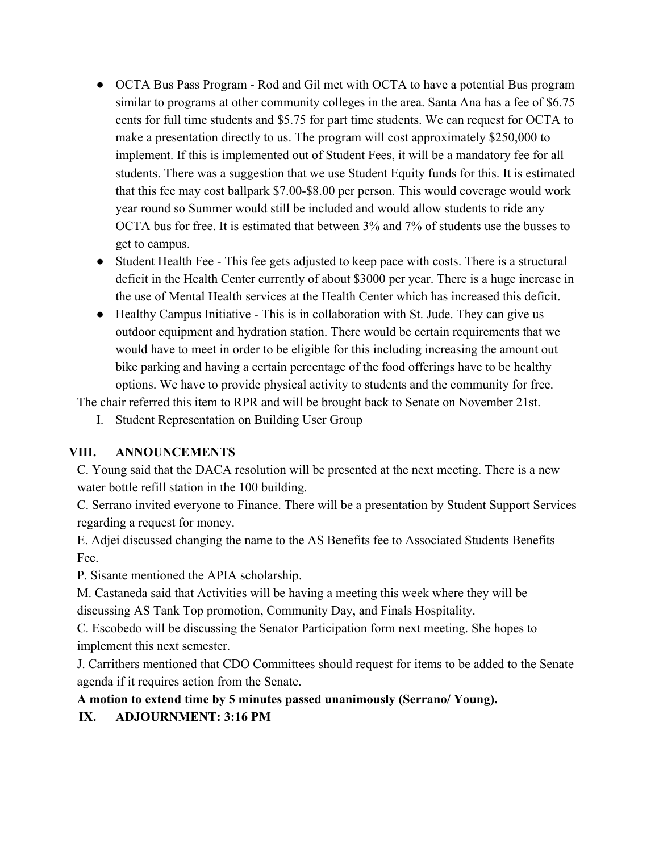- OCTA Bus Pass Program Rod and Gil met with OCTA to have a potential Bus program similar to programs at other community colleges in the area. Santa Ana has a fee of \$6.75 cents for full time students and \$5.75 for part time students. We can request for OCTA to make a presentation directly to us. The program will cost approximately \$250,000 to implement. If this is implemented out of Student Fees, it will be a mandatory fee for all students. There was a suggestion that we use Student Equity funds for this. It is estimated that this fee may cost ballpark \$7.00-\$8.00 per person. This would coverage would work year round so Summer would still be included and would allow students to ride any OCTA bus for free. It is estimated that between 3% and 7% of students use the busses to get to campus.
- Student Health Fee This fee gets adjusted to keep pace with costs. There is a structural deficit in the Health Center currently of about \$3000 per year. There is a huge increase in the use of Mental Health services at the Health Center which has increased this deficit.
- Healthy Campus Initiative This is in collaboration with St. Jude. They can give us outdoor equipment and hydration station. There would be certain requirements that we would have to meet in order to be eligible for this including increasing the amount out bike parking and having a certain percentage of the food offerings have to be healthy options. We have to provide physical activity to students and the community for free.

The chair referred this item to RPR and will be brought back to Senate on November 21st.

I. Student Representation on Building User Group

### **VIII. ANNOUNCEMENTS**

C. Young said that the DACA resolution will be presented at the next meeting. There is a new water bottle refill station in the 100 building.

C. Serrano invited everyone to Finance. There will be a presentation by Student Support Services regarding a request for money.

E. Adjei discussed changing the name to the AS Benefits fee to Associated Students Benefits Fee.

P. Sisante mentioned the APIA scholarship.

M. Castaneda said that Activities will be having a meeting this week where they will be discussing AS Tank Top promotion, Community Day, and Finals Hospitality.

C. Escobedo will be discussing the Senator Participation form next meeting. She hopes to implement this next semester.

J. Carrithers mentioned that CDO Committees should request for items to be added to the Senate agenda if it requires action from the Senate.

### **A motion to extend time by 5 minutes passed unanimously (Serrano/ Young).**

**IX. ADJOURNMENT: 3:16 PM**